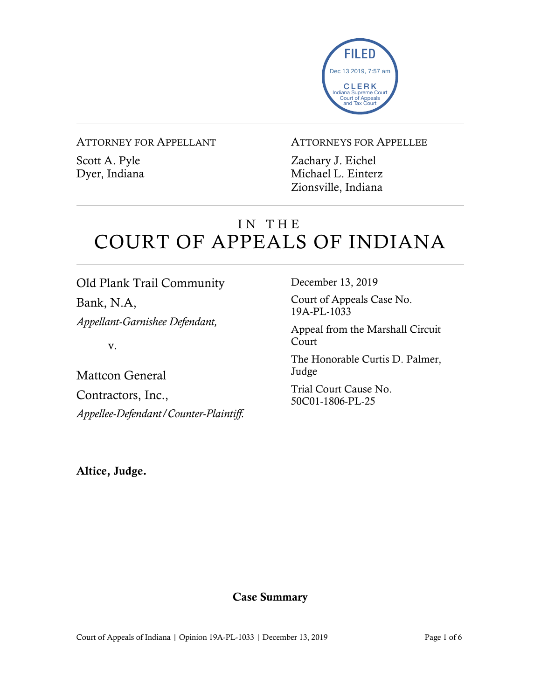

### ATTORNEY FOR APPELLANT

Scott A. Pyle Dyer, Indiana

### ATTORNEYS FOR APPELLEE

Zachary J. Eichel Michael L. Einterz Zionsville, Indiana

# IN THE COURT OF APPEALS OF INDIANA

# Old Plank Trail Community

Bank, N.A, *Appellant-Garnishee Defendant,*

v.

Mattcon General Contractors, Inc., *Appellee-Defendant/Counter-Plaintiff.* December 13, 2019

Court of Appeals Case No. 19A-PL-1033

Appeal from the Marshall Circuit Court

The Honorable Curtis D. Palmer, Judge

Trial Court Cause No. 50C01-1806-PL-25

Altice, Judge.

## Case Summary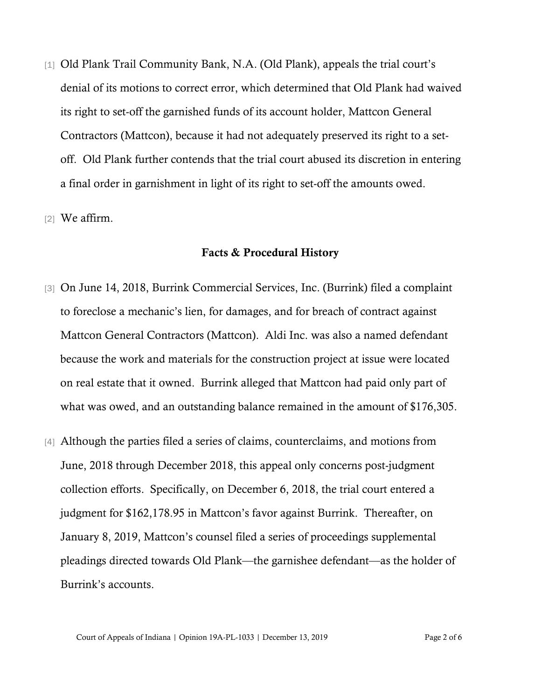[1] Old Plank Trail Community Bank, N.A. (Old Plank), appeals the trial court's denial of its motions to correct error, which determined that Old Plank had waived its right to set-off the garnished funds of its account holder, Mattcon General Contractors (Mattcon), because it had not adequately preserved its right to a setoff. Old Plank further contends that the trial court abused its discretion in entering a final order in garnishment in light of its right to set-off the amounts owed.

[2] We affirm.

#### Facts & Procedural History

- [3] On June 14, 2018, Burrink Commercial Services, Inc. (Burrink) filed a complaint to foreclose a mechanic's lien, for damages, and for breach of contract against Mattcon General Contractors (Mattcon). Aldi Inc. was also a named defendant because the work and materials for the construction project at issue were located on real estate that it owned. Burrink alleged that Mattcon had paid only part of what was owed, and an outstanding balance remained in the amount of \$176,305.
- [4] Although the parties filed a series of claims, counterclaims, and motions from June, 2018 through December 2018, this appeal only concerns post-judgment collection efforts. Specifically, on December 6, 2018, the trial court entered a judgment for \$162,178.95 in Mattcon's favor against Burrink. Thereafter, on January 8, 2019, Mattcon's counsel filed a series of proceedings supplemental pleadings directed towards Old Plank—the garnishee defendant—as the holder of Burrink's accounts.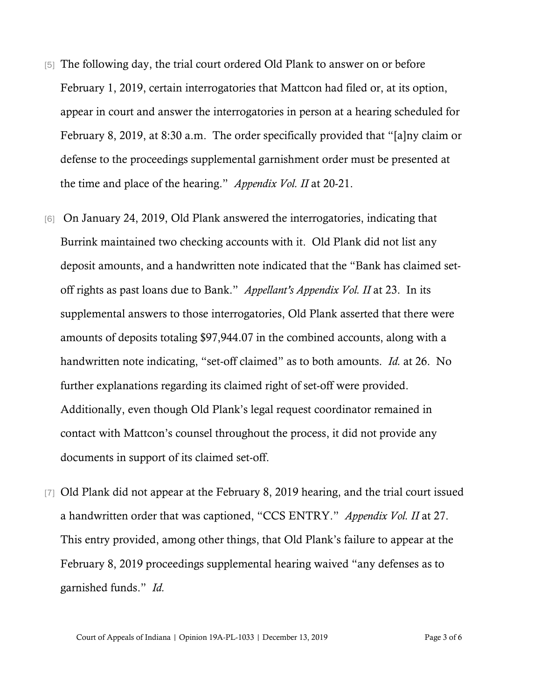- [5] The following day, the trial court ordered Old Plank to answer on or before February 1, 2019, certain interrogatories that Mattcon had filed or, at its option, appear in court and answer the interrogatories in person at a hearing scheduled for February 8, 2019, at 8:30 a.m. The order specifically provided that "[a]ny claim or defense to the proceedings supplemental garnishment order must be presented at the time and place of the hearing." *Appendix Vol. II* at 20-21.
- [6] On January 24, 2019, Old Plank answered the interrogatories, indicating that Burrink maintained two checking accounts with it. Old Plank did not list any deposit amounts, and a handwritten note indicated that the "Bank has claimed setoff rights as past loans due to Bank." *Appellant's Appendix Vol. II* at 23. In its supplemental answers to those interrogatories, Old Plank asserted that there were amounts of deposits totaling \$97,944.07 in the combined accounts, along with a handwritten note indicating, "set-off claimed" as to both amounts. *Id.* at 26. No further explanations regarding its claimed right of set-off were provided. Additionally, even though Old Plank's legal request coordinator remained in contact with Mattcon's counsel throughout the process, it did not provide any documents in support of its claimed set-off.
- [7] Old Plank did not appear at the February 8, 2019 hearing, and the trial court issued a handwritten order that was captioned, "CCS ENTRY." *Appendix Vol. II* at 27. This entry provided, among other things, that Old Plank's failure to appear at the February 8, 2019 proceedings supplemental hearing waived "any defenses as to garnished funds." *Id.*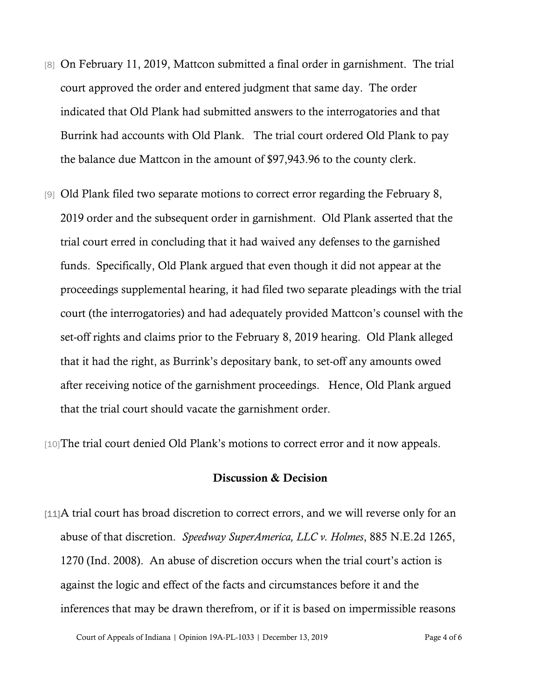- [8] On February 11, 2019, Mattcon submitted a final order in garnishment. The trial court approved the order and entered judgment that same day. The order indicated that Old Plank had submitted answers to the interrogatories and that Burrink had accounts with Old Plank. The trial court ordered Old Plank to pay the balance due Mattcon in the amount of \$97,943.96 to the county clerk.
- [9] Old Plank filed two separate motions to correct error regarding the February 8, 2019 order and the subsequent order in garnishment. Old Plank asserted that the trial court erred in concluding that it had waived any defenses to the garnished funds. Specifically, Old Plank argued that even though it did not appear at the proceedings supplemental hearing, it had filed two separate pleadings with the trial court (the interrogatories) and had adequately provided Mattcon's counsel with the set-off rights and claims prior to the February 8, 2019 hearing. Old Plank alleged that it had the right, as Burrink's depositary bank, to set-off any amounts owed after receiving notice of the garnishment proceedings. Hence, Old Plank argued that the trial court should vacate the garnishment order.

[10]The trial court denied Old Plank's motions to correct error and it now appeals.

### Discussion & Decision

[11]A trial court has broad discretion to correct errors, and we will reverse only for an abuse of that discretion. *Speedway SuperAmerica, LLC v. Holmes*, 885 N.E.2d 1265, 1270 (Ind. 2008). An abuse of discretion occurs when the trial court's action is against the logic and effect of the facts and circumstances before it and the inferences that may be drawn therefrom, or if it is based on impermissible reasons

Court of Appeals of Indiana | Opinion 19A-PL-1033 | December 13, 2019 Page 4 of 6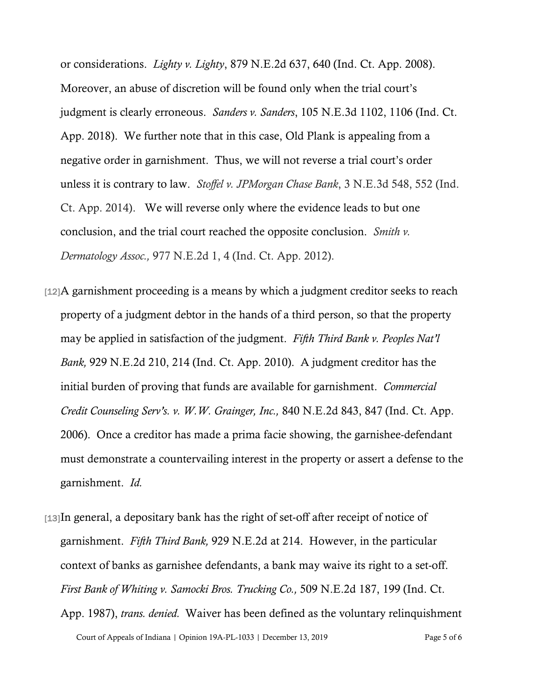or considerations. *Lighty v. Lighty*, 879 N.E.2d 637, 640 (Ind. Ct. App. 2008). Moreover, an abuse of discretion will be found only when the trial court's judgment is clearly erroneous. *Sanders v. Sanders*, 105 N.E.3d 1102, 1106 (Ind. Ct. App. 2018). We further note that in this case, Old Plank is appealing from a negative order in garnishment. Thus, we will not reverse a trial court's order unless it is contrary to law. *Stoffel v. JPMorgan Chase Bank*, 3 N.E.3d 548, 552 (Ind. Ct. App. 2014). We will reverse only where the evidence leads to but one conclusion, and the trial court reached the opposite conclusion. *Smith v. Dermatology Assoc.,* 977 N.E.2d 1, 4 (Ind. Ct. App. 2012).

- [12]A garnishment proceeding is a means by which a judgment creditor seeks to reach property of a judgment debtor in the hands of a third person, so that the property may be applied in satisfaction of the judgment. *Fifth Third Bank v. Peoples Nat'l Bank,* 929 N.E.2d 210, 214 (Ind. Ct. App. 2010). A judgment creditor has the initial burden of proving that funds are available for garnishment. *Commercial Credit Counseling Serv's. v. W.W. Grainger, Inc.,* 840 N.E.2d 843, 847 (Ind. Ct. App. 2006). Once a creditor has made a prima facie showing, the garnishee-defendant must demonstrate a countervailing interest in the property or assert a defense to the garnishment. *Id.*
- [13]In general, a depositary bank has the right of set-off after receipt of notice of garnishment. *Fifth Third Bank,* 929 N.E.2d at 214. However, in the particular context of banks as garnishee defendants, a bank may waive its right to a set-off. *First Bank of Whiting v. Samocki Bros. Trucking Co.,* 509 N.E.2d 187, 199 (Ind. Ct. App. 1987), *trans. denied.* Waiver has been defined as the voluntary relinquishment

Court of Appeals of Indiana | Opinion 19A-PL-1033 | December 13, 2019 Page 5 of 6